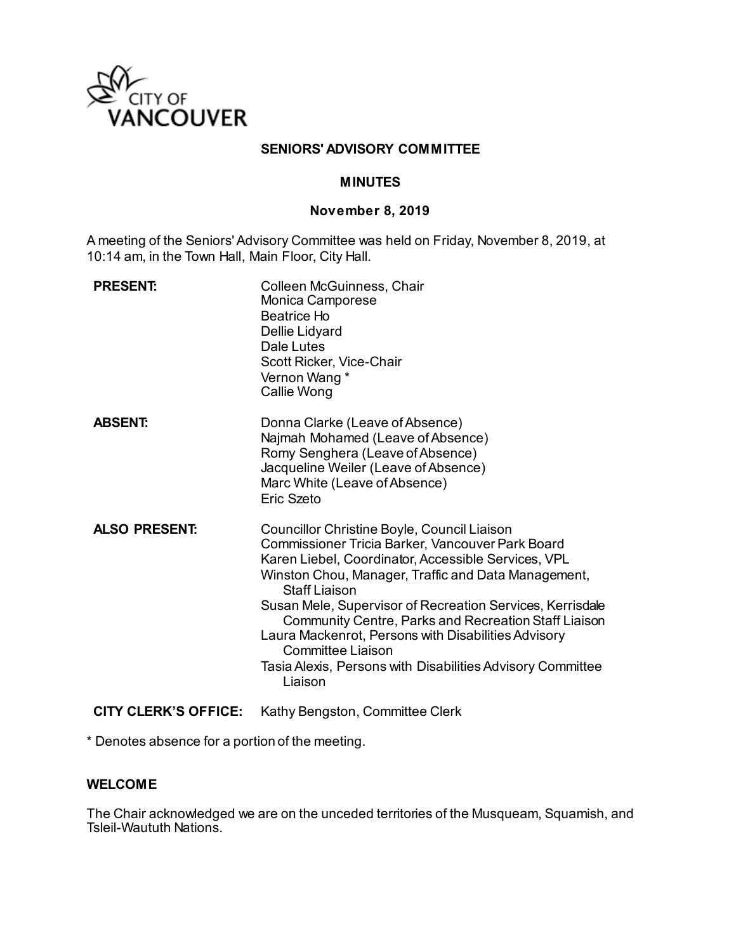

### **SENIORS' ADVISORY COMMITTEE**

### **MINUTES**

#### **November 8, 2019**

A meeting of the Seniors' Advisory Committee was held on Friday, November 8, 2019, at 10:14 am, in the Town Hall, Main Floor, City Hall.

| <b>PRESENT:</b>      | Colleen McGuinness, Chair<br>Monica Camporese<br>Beatrice Ho<br>Dellie Lidyard<br>Dale Lutes<br>Scott Ricker, Vice-Chair<br>Vernon Wang *<br>Callie Wong                                                                                                                                                                                                                                                                                                                                                               |
|----------------------|------------------------------------------------------------------------------------------------------------------------------------------------------------------------------------------------------------------------------------------------------------------------------------------------------------------------------------------------------------------------------------------------------------------------------------------------------------------------------------------------------------------------|
| <b>ABSENT:</b>       | Donna Clarke (Leave of Absence)<br>Najmah Mohamed (Leave of Absence)<br>Romy Senghera (Leave of Absence)<br>Jacqueline Weiler (Leave of Absence)<br>Marc White (Leave of Absence)<br>Eric Szeto                                                                                                                                                                                                                                                                                                                        |
| <b>ALSO PRESENT:</b> | Councillor Christine Boyle, Council Liaison<br>Commissioner Tricia Barker, Vancouver Park Board<br>Karen Liebel, Coordinator, Accessible Services, VPL<br>Winston Chou, Manager, Traffic and Data Management,<br><b>Staff Liaison</b><br>Susan Mele, Supervisor of Recreation Services, Kerrisdale<br><b>Community Centre, Parks and Recreation Staff Liaison</b><br>Laura Mackenrot, Persons with Disabilities Advisory<br>Committee Liaison<br>Tasia Alexis, Persons with Disabilities Advisory Committee<br>Liaison |

**CITY CLERK'S OFFICE:** Kathy Bengston, Committee Clerk

\* Denotes absence for a portion of the meeting.

### **WELCOME**

The Chair acknowledged we are on the unceded territories of the Musqueam, Squamish, and Tsleil-Waututh Nations.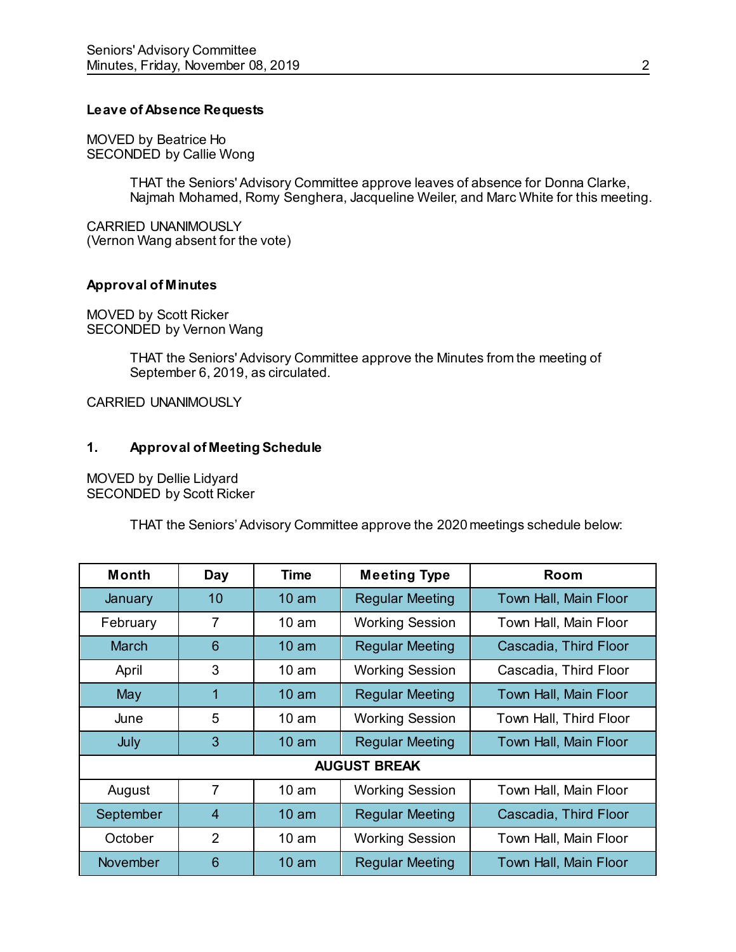### **Leave of Absence Requests**

MOVED by Beatrice Ho SECONDED by Callie Wong

> THAT the Seniors' Advisory Committee approve leaves of absence for Donna Clarke, Najmah Mohamed, Romy Senghera, Jacqueline Weiler, and Marc White for this meeting.

CARRIED UNANIMOUSLY (Vernon Wang absent for the vote)

## **Approval of Minutes**

MOVED by Scott Ricker SECONDED by Vernon Wang

> THAT the Seniors' Advisory Committee approve the Minutes from the meeting of September 6, 2019, as circulated.

CARRIED UNANIMOUSLY

### **1. Approval of Meeting Schedule**

MOVED by Dellie Lidyard SECONDED by Scott Ricker

THAT the Seniors' Advisory Committee approve the 2020 meetings schedule below:

| Month               | <b>Day</b>     | Time             | <b>Meeting Type</b>    | Room                   |
|---------------------|----------------|------------------|------------------------|------------------------|
| January             | 10             | 10 <sub>am</sub> | <b>Regular Meeting</b> | Town Hall, Main Floor  |
| February            | 7              | 10 <sub>am</sub> | <b>Working Session</b> | Town Hall, Main Floor  |
| <b>March</b>        | 6              | $10 \text{ am}$  | <b>Regular Meeting</b> | Cascadia, Third Floor  |
| April               | 3              | $10 \text{ am}$  | <b>Working Session</b> | Cascadia, Third Floor  |
| May                 | 1              | $10 \text{ am}$  | <b>Regular Meeting</b> | Town Hall, Main Floor  |
| June                | 5              | $10 \text{ am}$  | <b>Working Session</b> | Town Hall, Third Floor |
| July                | 3              | 10 <sub>am</sub> | <b>Regular Meeting</b> | Town Hall, Main Floor  |
| <b>AUGUST BREAK</b> |                |                  |                        |                        |
| August              | $\overline{7}$ | 10 <sub>am</sub> | <b>Working Session</b> | Town Hall, Main Floor  |
| September           | $\overline{4}$ | $10 \text{ am}$  | <b>Regular Meeting</b> | Cascadia, Third Floor  |
| October             | $\overline{2}$ | 10 <sub>am</sub> | <b>Working Session</b> | Town Hall, Main Floor  |
| <b>November</b>     | 6              | $10 \text{ am}$  | <b>Regular Meeting</b> | Town Hall, Main Floor  |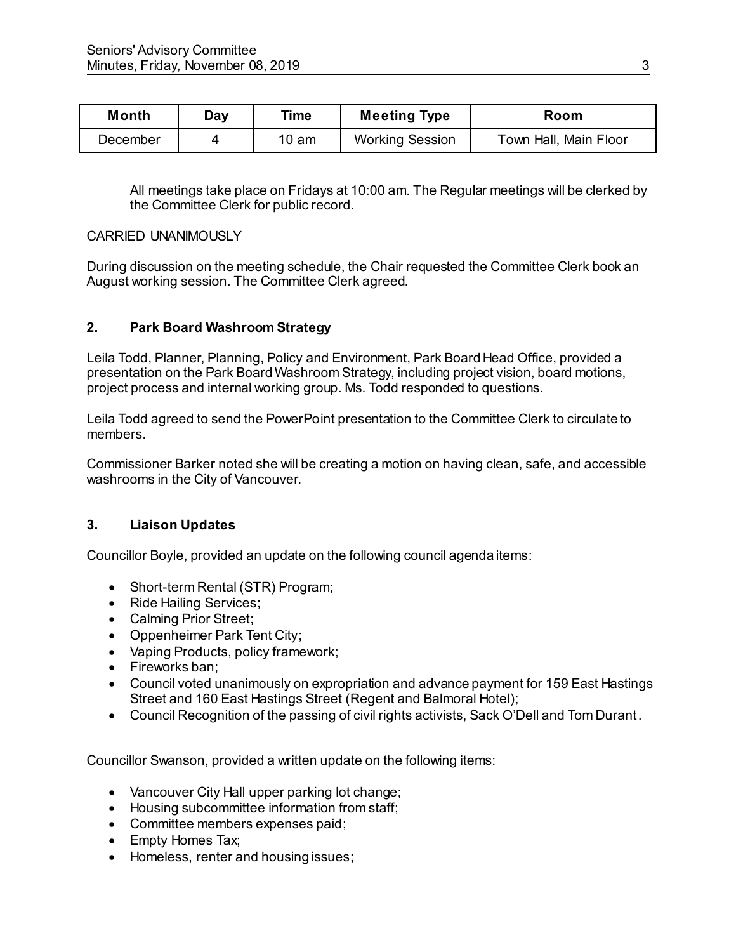| <b>Month</b> | Day | Time  | <b>Meeting Type</b>    | Room                  |
|--------------|-----|-------|------------------------|-----------------------|
| December     |     | 10 am | <b>Working Session</b> | Town Hall, Main Floor |

All meetings take place on Fridays at 10:00 am. The Regular meetings will be clerked by the Committee Clerk for public record.

### CARRIED UNANIMOUSLY

During discussion on the meeting schedule, the Chair requested the Committee Clerk book an August working session. The Committee Clerk agreed.

## **2. Park Board Washroom Strategy**

Leila Todd, Planner, Planning, Policy and Environment, Park Board Head Office, provided a presentation on the Park Board Washroom Strategy, including project vision, board motions, project process and internal working group. Ms. Todd responded to questions.

Leila Todd agreed to send the PowerPoint presentation to the Committee Clerk to circulate to members.

Commissioner Barker noted she will be creating a motion on having clean, safe, and accessible washrooms in the City of Vancouver.

## **3. Liaison Updates**

Councillor Boyle, provided an update on the following council agenda items:

- Short-term Rental (STR) Program;
- Ride Hailing Services;
- Calming Prior Street;
- Oppenheimer Park Tent City;
- Vaping Products, policy framework;
- Fireworks ban;
- Council voted unanimously on expropriation and advance payment for 159 East Hastings Street and 160 East Hastings Street (Regent and Balmoral Hotel);
- Council Recognition of the passing of civil rights activists, Sack O'Dell and Tom Durant.

Councillor Swanson, provided a written update on the following items:

- Vancouver City Hall upper parking lot change;
- Housing subcommittee information from staff;
- Committee members expenses paid;
- Empty Homes Tax;
- Homeless, renter and housing issues;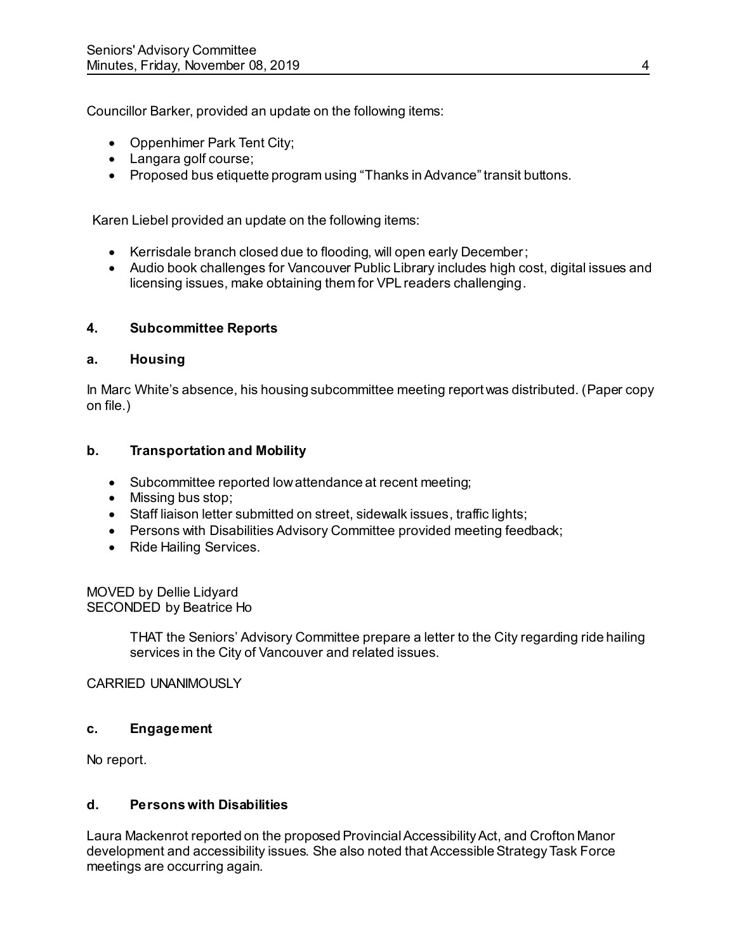Councillor Barker, provided an update on the following items:

- Oppenhimer Park Tent City;
- Langara golf course;
- Proposed bus etiquette program using "Thanks in Advance" transit buttons.

Karen Liebel provided an update on the following items:

- Kerrisdale branch closed due to flooding, will open early December;
- Audio book challenges for Vancouver Public Library includes high cost, digital issues and licensing issues, make obtaining them for VPL readers challenging.

## **4. Subcommittee Reports**

### **a. Housing**

In Marc White's absence, his housing subcommittee meeting report was distributed. (Paper copy on file.)

## **b. Transportation and Mobility**

- Subcommittee reported low attendance at recent meeting;
- Missing bus stop:
- Staff liaison letter submitted on street, sidewalk issues, traffic lights;
- Persons with Disabilities Advisory Committee provided meeting feedback;
- Ride Hailing Services.

MOVED by Dellie Lidyard SECONDED by Beatrice Ho

> THAT the Seniors' Advisory Committee prepare a letter to the City regarding ride hailing services in the City of Vancouver and related issues.

## CARRIED UNANIMOUSLY

## **c. Engagement**

No report.

## **d. Persons with Disabilities**

Laura Mackenrot reported on the proposed Provincial Accessibility Act, and Crofton Manor development and accessibility issues. She also noted that Accessible Strategy Task Force meetings are occurring again.